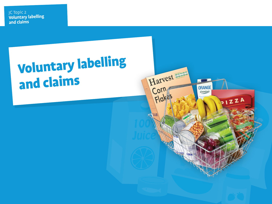Heading

# Voluntary labelling and claims

Harvest and

Corn

Flake

**ORANGE** 

*Cssentials* 

12ZA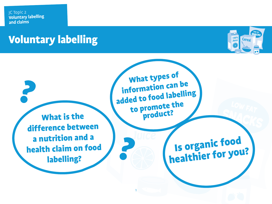### Voluntary labelling



What is the difference between a nutrition and a health claim on food labelling? What types of information can be added to food labelling to promote the product? Is organic food healthier for you?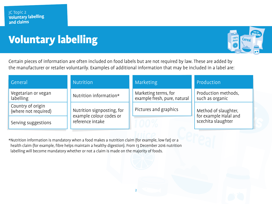# Voluntary labelling



Certain pieces of information are often included on food labels but are not required by law. These are added by the manufacturer or retailer voluntarily. Examples of additional information that may be included in a label are:

| l General                                 | Nutrition                                                                 | Marketing                                            | Production                                                          |
|-------------------------------------------|---------------------------------------------------------------------------|------------------------------------------------------|---------------------------------------------------------------------|
| Vegetarian or vegan<br>labelling          | Nutrition information*                                                    | Marketing terms, for<br>example fresh, pure, natural | Production methods,<br>such as organic                              |
| Country of origin<br>(where not required) | Nutrition signposting, for<br>example colour codes or<br>reference intake | Pictures and graphics                                | Method of slaughter,<br>for example Halal and<br>scechita slaughter |
| Serving suggestions                       |                                                                           |                                                      |                                                                     |

\*Nutrition information is mandatory when a food makes a nutrition claim (for example, low fat) or a health claim (for example, fibre helps maintain a healthy digestion). From 13 December 2016 nutrition labelling will become mandatory whether or not a claim is made on the majority of foods.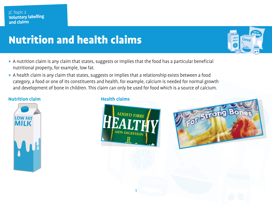# **Nutrition and health claims**

- > A nutrition claim is any claim that states, suggests or implies that the food has a particular beneficial nutritional property, for example, low fat.
- > A health claim is any claim that states, suggests or implies that a relationship exists between a food category, a food or one of its constituents and health, for example, calcium is needed for normal growth and development of bone in children. This claim can only be used for food which is a source of calcium.

### **Nutrition claim Health claims**







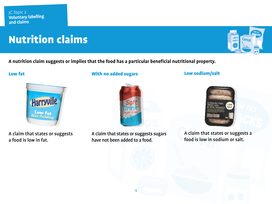# **Nutrition claims**



**A nutrition claim suggests or implies that the food has a particular beneficial nutritional property.**

### Low fat



A claim that states or suggests a food is low in fat.

With no added sugars



A claim that states or suggests sugars have not been added to a food.

4

Low sodium/salt



A claim that states or suggests a food is low in sodium or salt.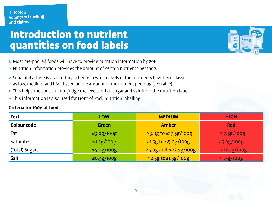### INLTOQUI<br>Ausntiti Introduction to nutrient quantities on food labels

Cereal Juice

- 1. Most pre-packed foods will have to provide nutrition information by 2016.
- > Nutrition information provides the amount of certain nutrients per 100g.
- 2. Separately there is a voluntary scheme in which levels of four nutrients have been classed as low, medium and high based on the amount of the nutrient per 100g (see table).
- > This helps the consumer to judge the levels of fat, sugar and salt from the nutrition label.
- > This information is also used for Front of Pack nutrition labelling.

### **Criteria for 100g of food**

| <b>Text</b>      | <b>LOW</b>       | <b>MEDIUM</b>          | <b>HIGH</b> |
|------------------|------------------|------------------------|-------------|
| Colour code      | <b>Green</b>     | <b>Amber</b>           | <b>Red</b>  |
| Fat              | $\leq$ 3.0g/100g | $>3.0g$ to ≤17.5g/100g | >17.5g/100g |
| <b>Saturates</b> | $\leq 1.5g/100g$ | >1.5g to ≤5.0g/100g    | >5.0g/100g  |
| (Total) Sugars   | $\leq$ 5.0g/100g | >5.0g and ≤22.5g/100g  | 22.5g/100g  |
| Salt             | $\leq 0.3g/100g$ | $>0.3g$ to≤1.5g/100g   | >1.5g/100g  |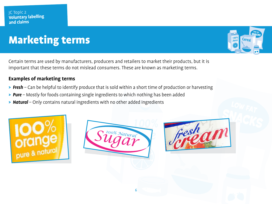# **Marketing terms**

Certain terms are used by manufacturers, producers and retailers to market their products, but it is important that these terms do not mislead consumers. These are known as marketing terms.

### **Examples of marketing terms**

- > *Fresh* Can be helpful to identify produce that is sold within a short time of production or harvesting
- > *Pure* Mostly for foods containing single ingredients to which nothing has been added
- > *Natural* Only contains natural ingredients with no other added ingredients







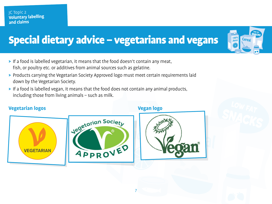# Special dietary advice - vegetarians and vegans

- > If a food is labelled vegetarian, it means that the food doesn't contain any meat, fish, or poultry etc. or additives from animal sources such as gelatine.
- > Products carrying the Vegetarian Society Approved logo must meet certain requirements laid down by the Vegetarian Society.
- > If a food is labelled vegan, it means that the food does not contain any animal products, including those from living animals – such as milk.





LOW FAT

Cereal

 $100^\circ$ 

**Juice** 

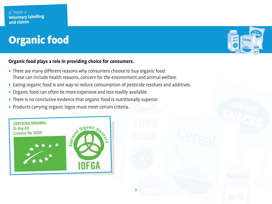# Organic food

### **Organic food plays a role in providing choice for consumers.**

- > There are many different reasons why consumers choose to buy organic food. These can include health reasons, concern for the environment and animal welfare.
- > Eating organic food is one way to reduce consumption of pesticide residues and additives.

- > Organic food can often be more expensive and less readily available.
- > There is no conclusive evidence that organic food is nutritionally superior.
- > Products carrying organic logos must meet certain criteria.